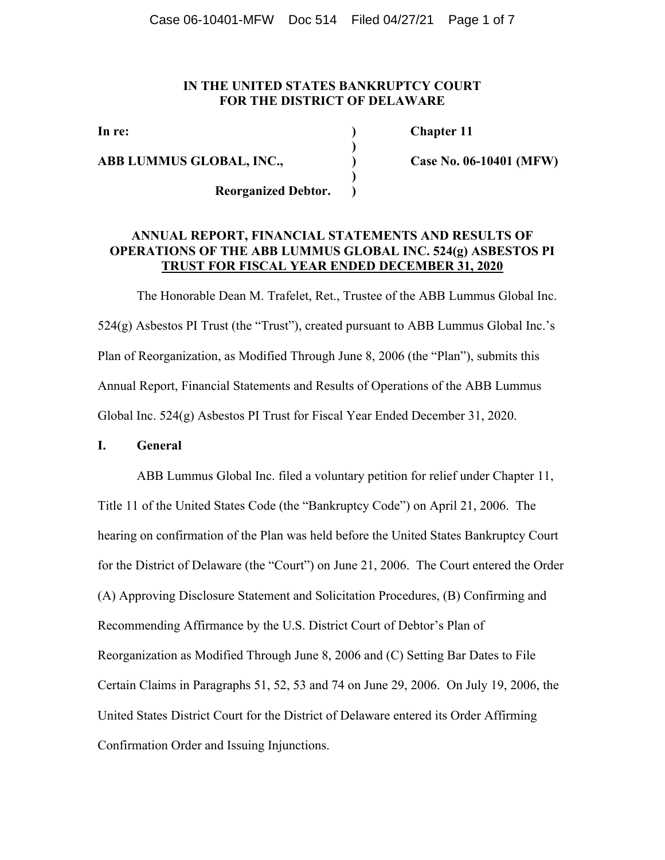## **IN THE UNITED STATES BANKRUPTCY COURT FOR THE DISTRICT OF DELAWARE**

**ABB LUMMUS GLOBAL, INC., ) Case No. 06-10401 (MFW)** 

 **)** 

 **)** 

In re: Chapter 11

 **Reorganized Debtor. )** 

## **ANNUAL REPORT, FINANCIAL STATEMENTS AND RESULTS OF OPERATIONS OF THE ABB LUMMUS GLOBAL INC. 524(g) ASBESTOS PI TRUST FOR FISCAL YEAR ENDED DECEMBER 31, 2020**

 The Honorable Dean M. Trafelet, Ret., Trustee of the ABB Lummus Global Inc.  $524(g)$  Asbestos PI Trust (the "Trust"), created pursuant to ABB Lummus Global Inc.'s Plan of Reorganization, as Modified Through June 8, 2006 (the "Plan"), submits this Annual Report, Financial Statements and Results of Operations of the ABB Lummus Global Inc. 524(g) Asbestos PI Trust for Fiscal Year Ended December 31, 2020.

## **I. General**

 ABB Lummus Global Inc. filed a voluntary petition for relief under Chapter 11, Title 11 of the United States Code (the "Bankruptcy Code") on April 21, 2006. The hearing on confirmation of the Plan was held before the United States Bankruptcy Court for the District of Delaware (the "Court") on June 21, 2006. The Court entered the Order (A) Approving Disclosure Statement and Solicitation Procedures, (B) Confirming and Recommending Affirmance by the U.S. District Court of Debtor's Plan of Reorganization as Modified Through June 8, 2006 and (C) Setting Bar Dates to File Certain Claims in Paragraphs 51, 52, 53 and 74 on June 29, 2006. On July 19, 2006, the United States District Court for the District of Delaware entered its Order Affirming Confirmation Order and Issuing Injunctions.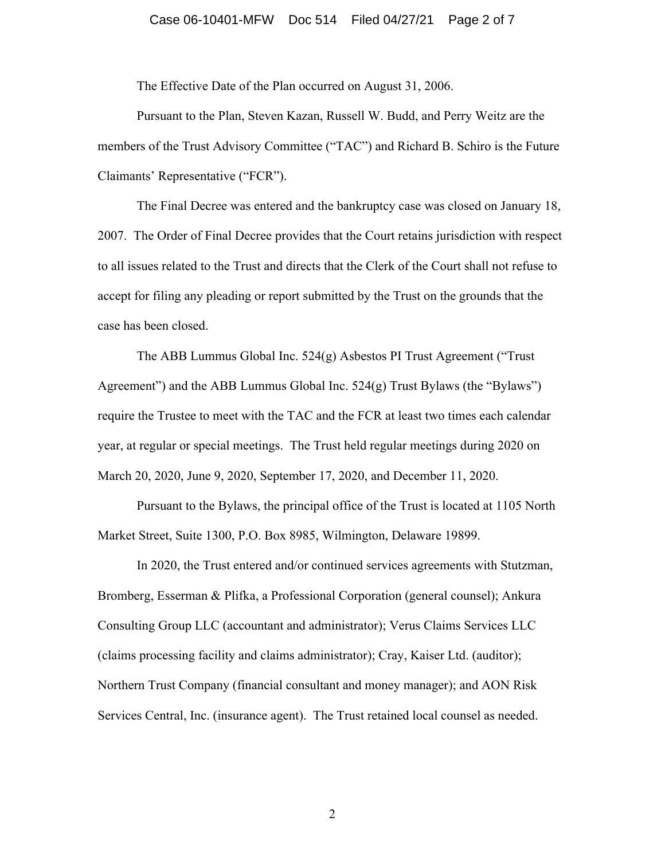## Case 06-10401-MFW Doc 514 Filed 04/27/21 Page 2 of 7

The Effective Date of the Plan occurred on August 31, 2006.

 Pursuant to the Plan, Steven Kazan, Russell W. Budd, and Perry Weitz are the members of the Trust Advisory Committee ("TAC") and Richard B. Schiro is the Future Claimants' Representative ("FCR").

 The Final Decree was entered and the bankruptcy case was closed on January 18, 2007. The Order of Final Decree provides that the Court retains jurisdiction with respect to all issues related to the Trust and directs that the Clerk of the Court shall not refuse to accept for filing any pleading or report submitted by the Trust on the grounds that the case has been closed.

 The ABB Lummus Global Inc. 524(g) Asbestos PI Trust Agreement ("Trust Agreement") and the ABB Lummus Global Inc. 524(g) Trust Bylaws (the "Bylaws") require the Trustee to meet with the TAC and the FCR at least two times each calendar year, at regular or special meetings. The Trust held regular meetings during 2020 on March 20, 2020, June 9, 2020, September 17, 2020, and December 11, 2020.

 Pursuant to the Bylaws, the principal office of the Trust is located at 1105 North Market Street, Suite 1300, P.O. Box 8985, Wilmington, Delaware 19899.

 In 2020, the Trust entered and/or continued services agreements with Stutzman, Bromberg, Esserman & Plifka, a Professional Corporation (general counsel); Ankura Consulting Group LLC (accountant and administrator); Verus Claims Services LLC (claims processing facility and claims administrator); Cray, Kaiser Ltd. (auditor); Northern Trust Company (financial consultant and money manager); and AON Risk Services Central, Inc. (insurance agent). The Trust retained local counsel as needed.

2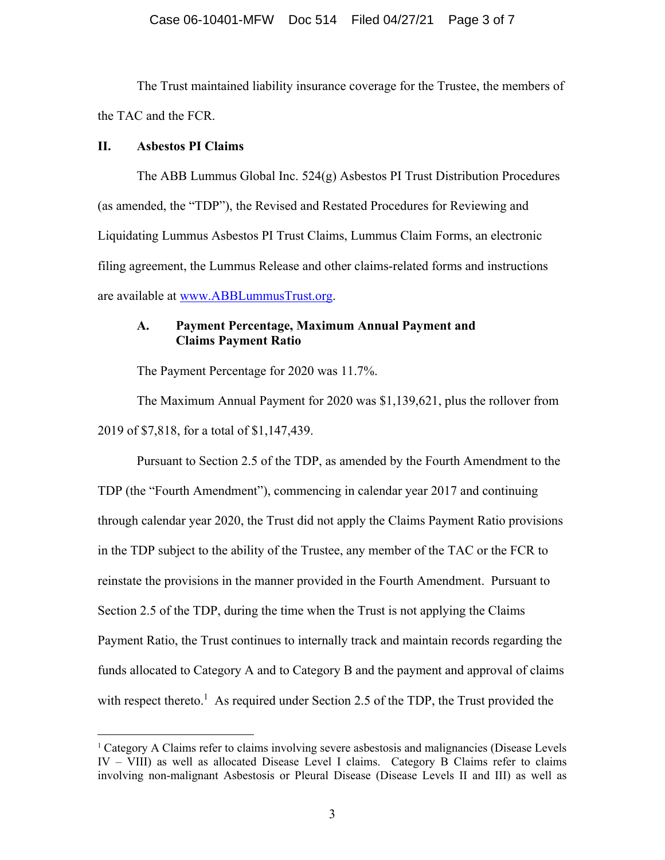## Case 06-10401-MFW Doc 514 Filed 04/27/21 Page 3 of 7

 The Trust maintained liability insurance coverage for the Trustee, the members of the TAC and the FCR.

## **II. Asbestos PI Claims**

 The ABB Lummus Global Inc. 524(g) Asbestos PI Trust Distribution Procedures (as amended, the "TDP"), the Revised and Restated Procedures for Reviewing and Liquidating Lummus Asbestos PI Trust Claims, Lummus Claim Forms, an electronic filing agreement, the Lummus Release and other claims-related forms and instructions are available at www.ABBLummusTrust.org.

## **A. Payment Percentage, Maximum Annual Payment and Claims Payment Ratio**

The Payment Percentage for 2020 was 11.7%.

 The Maximum Annual Payment for 2020 was \$1,139,621, plus the rollover from 2019 of \$7,818, for a total of \$1,147,439.

 Pursuant to Section 2.5 of the TDP, as amended by the Fourth Amendment to the TDP (the "Fourth Amendment"), commencing in calendar year 2017 and continuing through calendar year 2020, the Trust did not apply the Claims Payment Ratio provisions in the TDP subject to the ability of the Trustee, any member of the TAC or the FCR to reinstate the provisions in the manner provided in the Fourth Amendment. Pursuant to Section 2.5 of the TDP, during the time when the Trust is not applying the Claims Payment Ratio, the Trust continues to internally track and maintain records regarding the funds allocated to Category A and to Category B and the payment and approval of claims with respect thereto.<sup>1</sup> As required under Section 2.5 of the TDP, the Trust provided the

<sup>1</sup> Category A Claims refer to claims involving severe asbestosis and malignancies (Disease Levels IV – VIII) as well as allocated Disease Level I claims. Category B Claims refer to claims involving non-malignant Asbestosis or Pleural Disease (Disease Levels II and III) as well as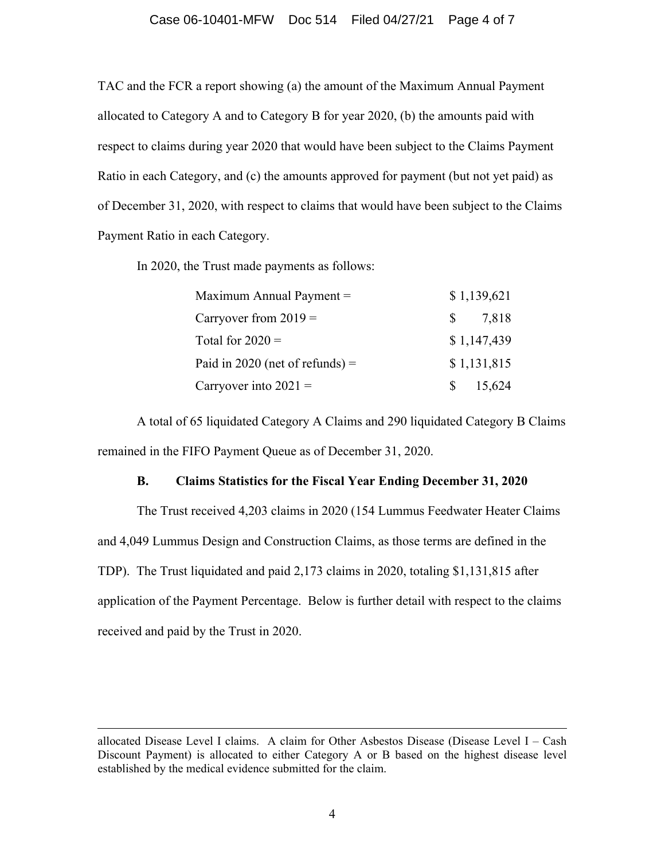## Case 06-10401-MFW Doc 514 Filed 04/27/21 Page 4 of 7

TAC and the FCR a report showing (a) the amount of the Maximum Annual Payment allocated to Category A and to Category B for year 2020, (b) the amounts paid with respect to claims during year 2020 that would have been subject to the Claims Payment Ratio in each Category, and (c) the amounts approved for payment (but not yet paid) as of December 31, 2020, with respect to claims that would have been subject to the Claims Payment Ratio in each Category.

In 2020, the Trust made payments as follows:

| Maximum Annual Payment $=$        | \$1,139,621 |
|-----------------------------------|-------------|
| Carryover from $2019 =$           | 7,818<br>S. |
| Total for $2020 =$                | \$1,147,439 |
| Paid in 2020 (net of refunds) $=$ | \$1,131,815 |
| Carryover into $2021 =$           | 15,624      |

 A total of 65 liquidated Category A Claims and 290 liquidated Category B Claims remained in the FIFO Payment Queue as of December 31, 2020.

## **B. Claims Statistics for the Fiscal Year Ending December 31, 2020**

The Trust received 4,203 claims in 2020 (154 Lummus Feedwater Heater Claims and 4,049 Lummus Design and Construction Claims, as those terms are defined in the TDP). The Trust liquidated and paid 2,173 claims in 2020, totaling \$1,131,815 after application of the Payment Percentage. Below is further detail with respect to the claims received and paid by the Trust in 2020.

allocated Disease Level I claims. A claim for Other Asbestos Disease (Disease Level I – Cash Discount Payment) is allocated to either Category A or B based on the highest disease level established by the medical evidence submitted for the claim.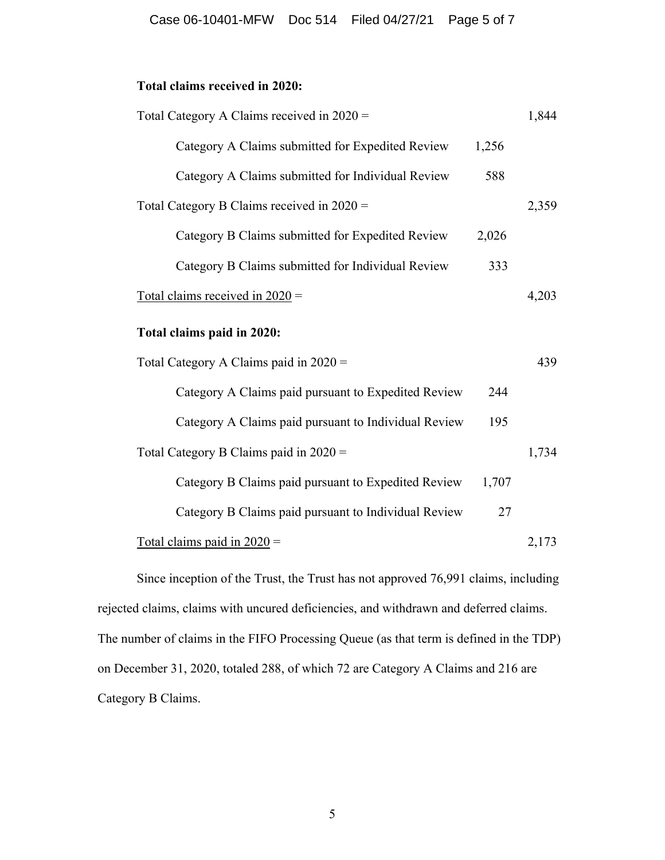# **Total claims received in 2020:**

| Total Category A Claims received in $2020 =$         |       | 1,844 |
|------------------------------------------------------|-------|-------|
| Category A Claims submitted for Expedited Review     | 1,256 |       |
| Category A Claims submitted for Individual Review    | 588   |       |
| Total Category B Claims received in $2020 =$         |       | 2,359 |
| Category B Claims submitted for Expedited Review     | 2,026 |       |
| Category B Claims submitted for Individual Review    | 333   |       |
| Total claims received in $2020 =$                    |       | 4,203 |
| Total claims paid in 2020:                           |       |       |
| Total Category A Claims paid in $2020 =$             |       | 439   |
| Category A Claims paid pursuant to Expedited Review  | 244   |       |
| Category A Claims paid pursuant to Individual Review | 195   |       |
| Total Category B Claims paid in 2020 =               |       | 1,734 |
| Category B Claims paid pursuant to Expedited Review  | 1,707 |       |
| Category B Claims paid pursuant to Individual Review | 27    |       |
| Total claims paid in $2020 =$                        |       | 2,173 |

 Since inception of the Trust, the Trust has not approved 76,991 claims, including rejected claims, claims with uncured deficiencies, and withdrawn and deferred claims. The number of claims in the FIFO Processing Queue (as that term is defined in the TDP) on December 31, 2020, totaled 288, of which 72 are Category A Claims and 216 are Category B Claims.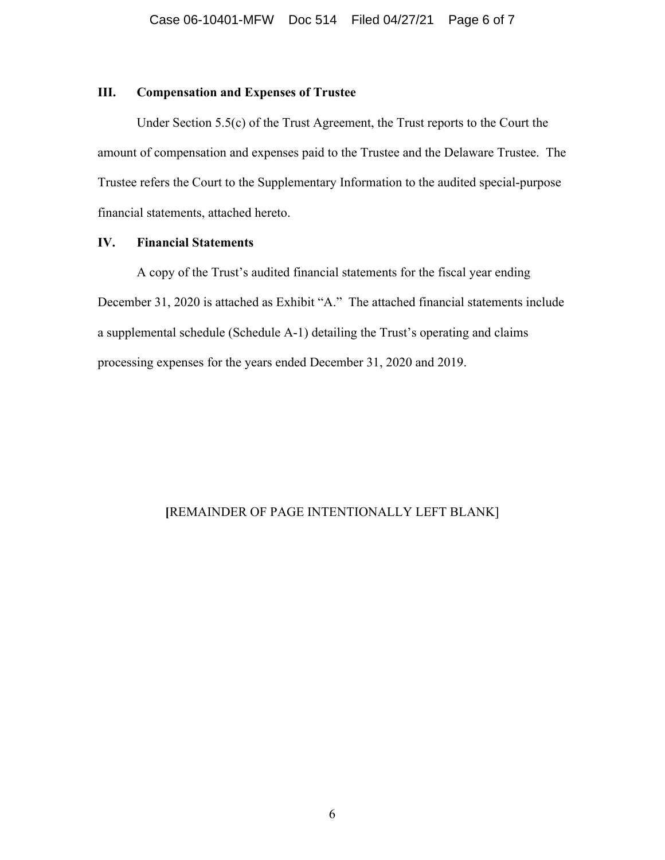## **III. Compensation and Expenses of Trustee**

 Under Section 5.5(c) of the Trust Agreement, the Trust reports to the Court the amount of compensation and expenses paid to the Trustee and the Delaware Trustee. The Trustee refers the Court to the Supplementary Information to the audited special-purpose financial statements, attached hereto.

## **IV. Financial Statements**

 A copy of the Trust's audited financial statements for the fiscal year ending December 31, 2020 is attached as Exhibit "A." The attached financial statements include a supplemental schedule (Schedule A-1) detailing the Trust's operating and claims processing expenses for the years ended December 31, 2020 and 2019.

## **[**REMAINDER OF PAGE INTENTIONALLY LEFT BLANK]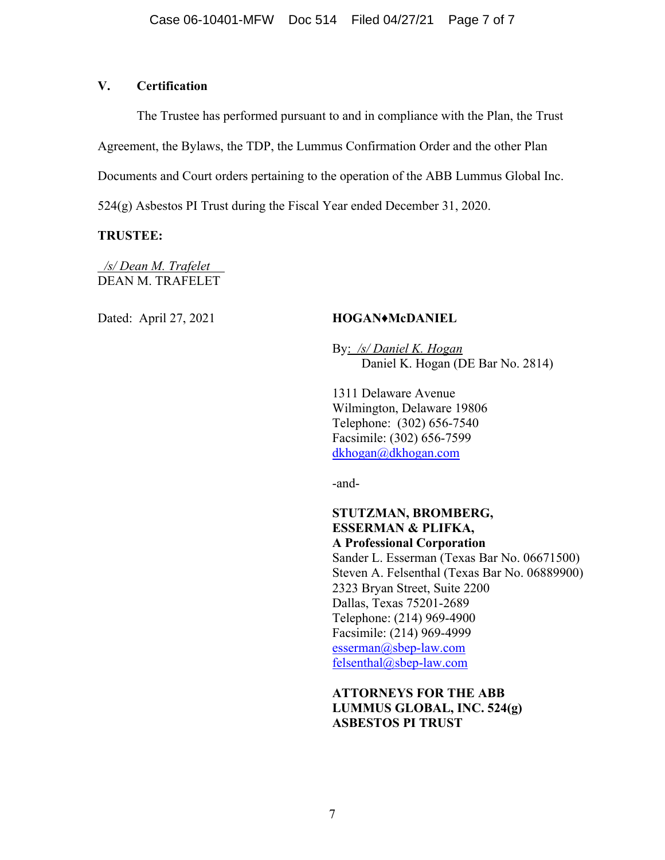## **V. Certification**

 The Trustee has performed pursuant to and in compliance with the Plan, the Trust Agreement, the Bylaws, the TDP, the Lummus Confirmation Order and the other Plan Documents and Court orders pertaining to the operation of the ABB Lummus Global Inc. 524(g) Asbestos PI Trust during the Fiscal Year ended December 31, 2020.

## **TRUSTEE:**

 */s/ Dean M. Trafelet*  DEAN M. TRAFELET

## Dated: April 27, 2021 **HOGAN♦McDANIEL**

 By: */s/ Daniel K. Hogan*  Daniel K. Hogan (DE Bar No. 2814)

 1311 Delaware Avenue Wilmington, Delaware 19806 Telephone: (302) 656-7540 Facsimile: (302) 656-7599 dkhogan@dkhogan.com

-and-

## **STUTZMAN, BROMBERG, ESSERMAN & PLIFKA, A Professional Corporation**

 Sander L. Esserman (Texas Bar No. 06671500) Steven A. Felsenthal (Texas Bar No. 06889900) 2323 Bryan Street, Suite 2200 Dallas, Texas 75201-2689 Telephone: (214) 969-4900 Facsimile: (214) 969-4999 esserman@sbep-law.com felsenthal@sbep-law.com

# **ATTORNEYS FOR THE ABB LUMMUS GLOBAL, INC. 524(g) ASBESTOS PI TRUST**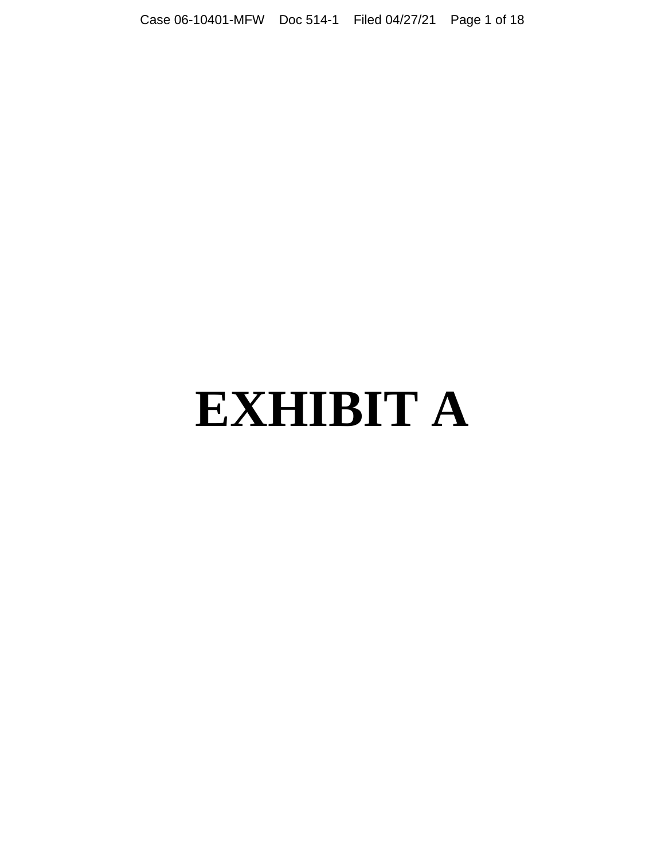# **EXHIBIT A**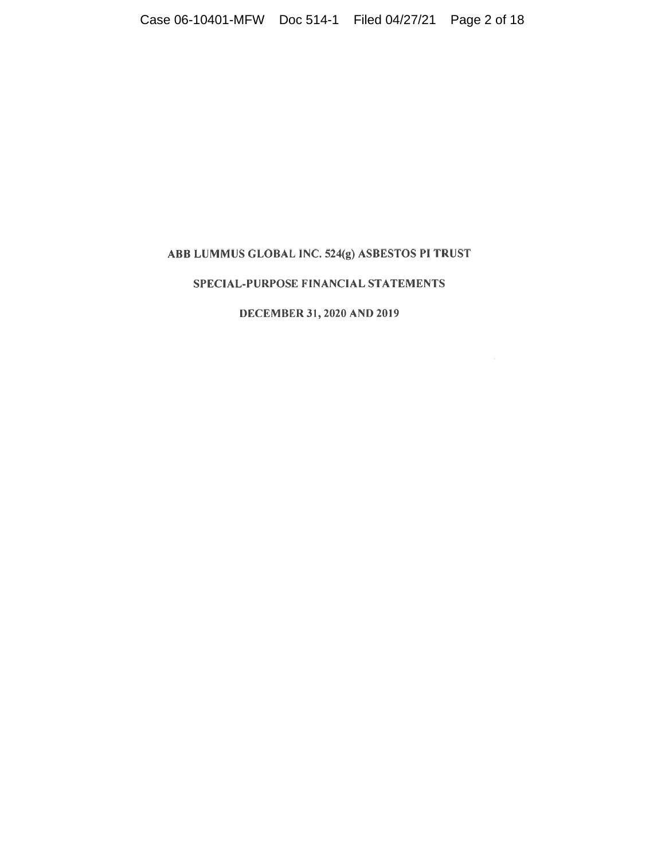# ABB LUMMUS GLOBAL INC. 524(g) ASBESTOS PI TRUST

## SPECIAL-PURPOSE FINANCIAL STATEMENTS

## DECEMBER 31, 2020 AND 2019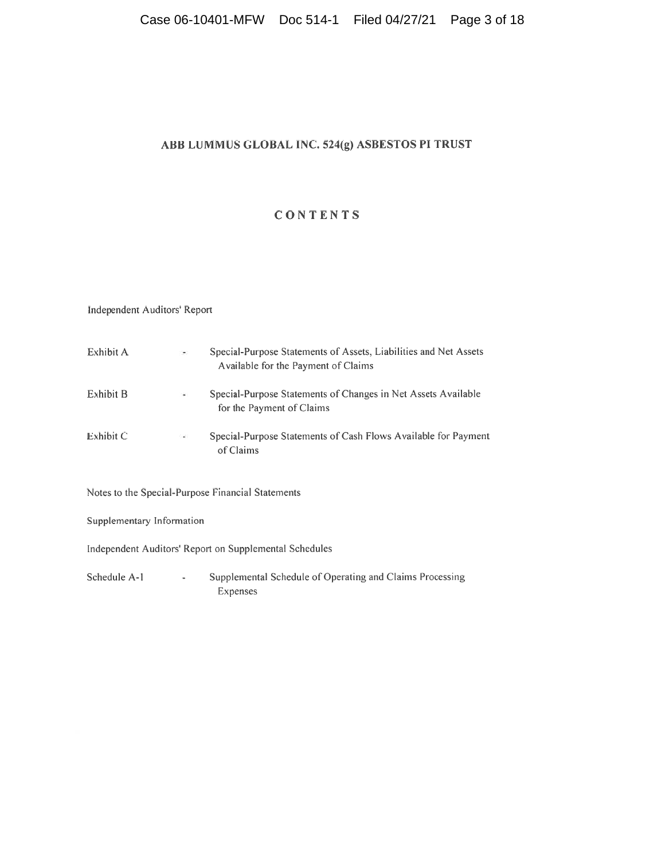# ABB LUMMUS GLOBAL INC. 524(g) ASBESTOS PI TRUST

# CONTENTS

## Independent Auditors' Report

| Exhibit A                                              |           | Special-Purpose Statements of Assets, Liabilities and Net Assets<br>Available for the Payment of Claims |  |  |  |  |
|--------------------------------------------------------|-----------|---------------------------------------------------------------------------------------------------------|--|--|--|--|
| Exhibit B                                              | $\bullet$ | Special-Purpose Statements of Changes in Net Assets Available<br>for the Payment of Claims              |  |  |  |  |
| Exhibit C                                              |           | Special-Purpose Statements of Cash Flows Available for Payment<br>of Claims                             |  |  |  |  |
|                                                        |           | Notes to the Special-Purpose Financial Statements                                                       |  |  |  |  |
| Supplementary Information                              |           |                                                                                                         |  |  |  |  |
| Independent Auditors' Report on Supplemental Schedules |           |                                                                                                         |  |  |  |  |

Supplemental Schedule of Operating and Claims Processing Schedule A-1  $\Box$ Expenses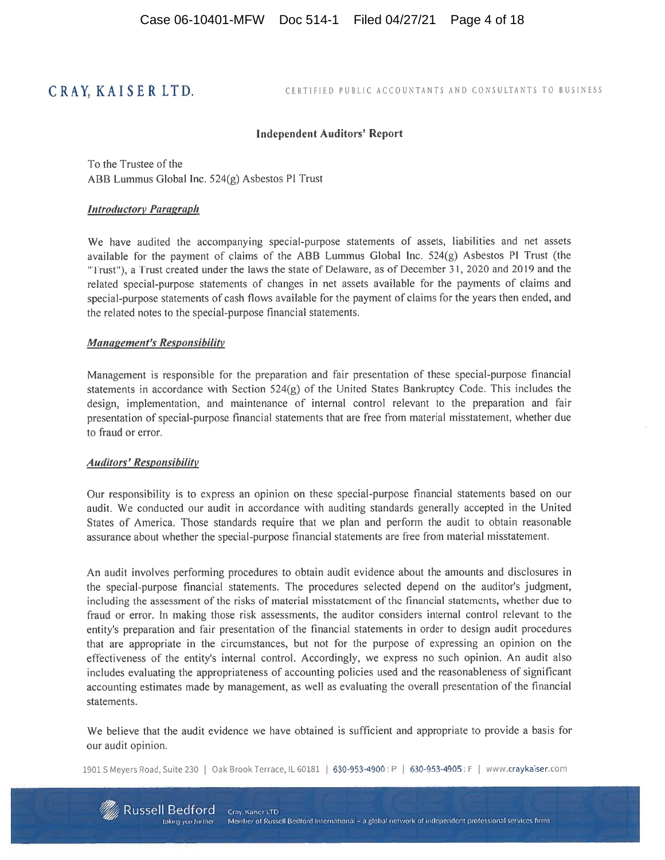# CRAY, KAISER LTD.

CERTIFIED PUBLIC ACCOUNTANTS AND CONSULTANTS TO BUSINESS

#### **Independent Auditors' Report**

To the Trustee of the ABB Lummus Global Inc. 524(g) Asbestos PI Trust

#### **Introductory Paragraph**

We have audited the accompanying special-purpose statements of assets, liabilities and net assets available for the payment of claims of the ABB Lummus Global Inc. 524(g) Asbestos PI Trust (the "Trust"), a Trust created under the laws the state of Delaware, as of December 31, 2020 and 2019 and the related special-purpose statements of changes in net assets available for the payments of claims and special-purpose statements of cash flows available for the payment of claims for the years then ended, and the related notes to the special-purpose financial statements.

#### **Management's Responsibility**

Management is responsible for the preparation and fair presentation of these special-purpose financial statements in accordance with Section 524(g) of the United States Bankruptcy Code. This includes the design, implementation, and maintenance of internal control relevant to the preparation and fair presentation of special-purpose financial statements that are free from material misstatement, whether due to fraud or error.

#### **Auditors' Responsibility**

Our responsibility is to express an opinion on these special-purpose financial statements based on our audit. We conducted our audit in accordance with auditing standards generally accepted in the United States of America. Those standards require that we plan and perform the audit to obtain reasonable assurance about whether the special-purpose financial statements are free from material misstatement.

An audit involves performing procedures to obtain audit evidence about the amounts and disclosures in the special-purpose financial statements. The procedures selected depend on the auditor's judgment, including the assessment of the risks of material misstatement of the financial statements, whether due to fraud or error. In making those risk assessments, the auditor considers internal control relevant to the entity's preparation and fair presentation of the financial statements in order to design audit procedures that are appropriate in the circumstances, but not for the purpose of expressing an opinion on the effectiveness of the entity's internal control. Accordingly, we express no such opinion. An audit also includes evaluating the appropriateness of accounting policies used and the reasonableness of significant accounting estimates made by management, as well as evaluating the overall presentation of the financial statements.

We believe that the audit evidence we have obtained is sufficient and appropriate to provide a basis for our audit opinion.

1901 S Meyers Road, Suite 230 | Oak Brook Terrace, IL 60181 | 630-953-4900 : P | 630-953-4905 : F | www.craykaiser.com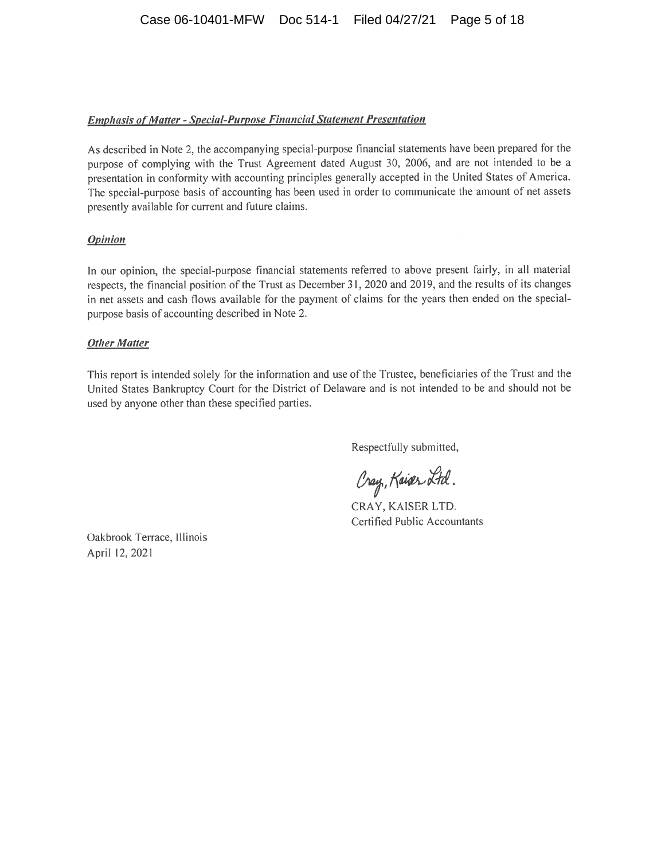## **Emphasis of Matter - Special-Purpose Financial Statement Presentation**

As described in Note 2, the accompanying special-purpose financial statements have been prepared for the purpose of complying with the Trust Agreement dated August 30, 2006, and are not intended to be a presentation in conformity with accounting principles generally accepted in the United States of America. The special-purpose basis of accounting has been used in order to communicate the amount of net assets presently available for current and future claims.

## **Opinion**

In our opinion, the special-purpose financial statements referred to above present fairly, in all material respects, the financial position of the Trust as December 31, 2020 and 2019, and the results of its changes in net assets and cash flows available for the payment of claims for the years then ended on the specialpurpose basis of accounting described in Note 2.

## **Other Matter**

This report is intended solely for the information and use of the Trustee, beneficiaries of the Trust and the United States Bankruptcy Court for the District of Delaware and is not intended to be and should not be used by anyone other than these specified parties.

Respectfully submitted,

Cray, Kaiser Ltd.

CRAY, KAISER LTD. Certified Public Accountants

Oakbrook Terrace, Illinois April 12, 2021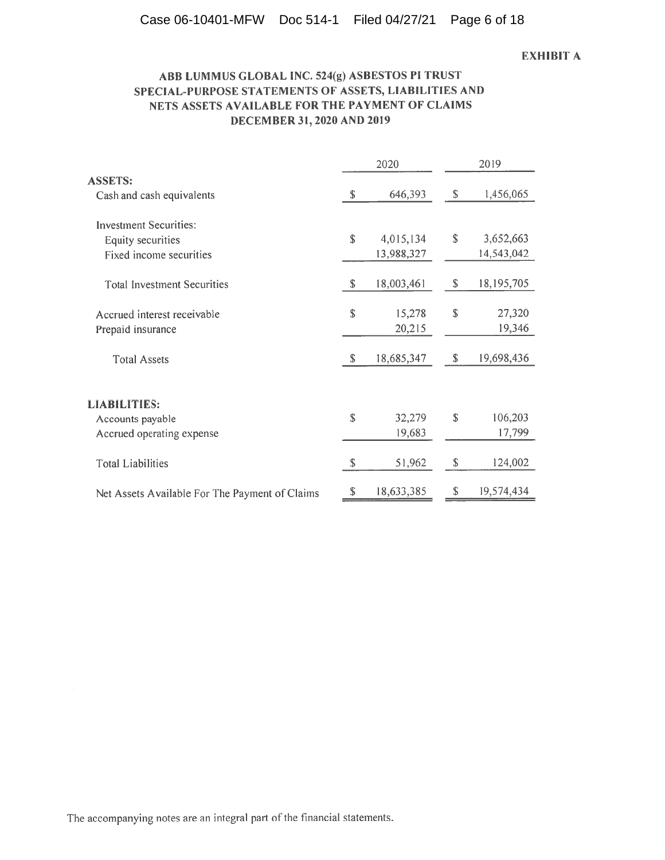## **EXHIBIT A**

## ABB LUMMUS GLOBAL INC. 524(g) ASBESTOS PI TRUST SPECIAL-PURPOSE STATEMENTS OF ASSETS, LIABILITIES AND NETS ASSETS AVAILABLE FOR THE PAYMENT OF CLAIMS DECEMBER 31, 2020 AND 2019

|                                                | 2020                      |            |               | 2019       |  |  |
|------------------------------------------------|---------------------------|------------|---------------|------------|--|--|
| <b>ASSETS:</b>                                 |                           |            |               |            |  |  |
| Cash and cash equivalents                      | $\boldsymbol{\mathsf{S}}$ | 646,393    | ${\mathbb S}$ | 1,456,065  |  |  |
| <b>Investment Securities:</b>                  |                           |            |               |            |  |  |
| Equity securities                              | $\mathbf S$               | 4,015,134  | $\mathbb{S}$  | 3,652,663  |  |  |
| Fixed income securities                        |                           | 13,988,327 |               | 14,543,042 |  |  |
| <b>Total Investment Securities</b>             | \$                        | 18,003,461 | $\mathbb{S}$  | 18,195,705 |  |  |
| Accrued interest receivable                    | \$                        | 15,278     | ${\mathbb S}$ | 27,320     |  |  |
| Prepaid insurance                              |                           | 20,215     |               | 19,346     |  |  |
| <b>Total Assets</b>                            | S                         | 18,685,347 | S             | 19,698,436 |  |  |
| <b>LIABILITIES:</b>                            |                           |            |               |            |  |  |
| Accounts payable                               | \$                        | 32,279     | <sup>\$</sup> | 106,203    |  |  |
| Accrued operating expense                      |                           | 19,683     |               | 17,799     |  |  |
| <b>Total Liabilities</b>                       | \$                        | 51,962     | $\mathbb{S}$  | 124,002    |  |  |
| Net Assets Available For The Payment of Claims | \$                        | 18,633,385 | S             | 19,574,434 |  |  |

The accompanying notes are an integral part of the financial statements.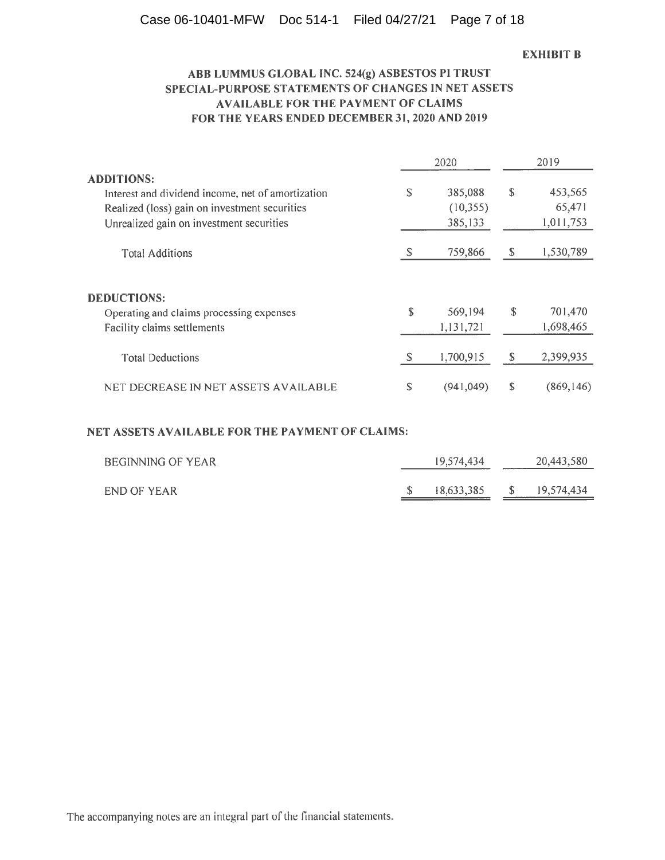# Case 06-10401-MFW Doc 514-1 Filed 04/27/21 Page 7 of 18

#### **EXHIBIT B**

# ABB LUMMUS GLOBAL INC. 524(g) ASBESTOS PI TRUST SPECIAL-PURPOSE STATEMENTS OF CHANGES IN NET ASSETS **AVAILABLE FOR THE PAYMENT OF CLAIMS** FOR THE YEARS ENDED DECEMBER 31, 2020 AND 2019

|                                                   |    | 2020       | 2019         |            |  |
|---------------------------------------------------|----|------------|--------------|------------|--|
| <b>ADDITIONS:</b>                                 |    |            |              |            |  |
| Interest and dividend income, net of amortization | \$ | 385,088    | \$           | 453,565    |  |
| Realized (loss) gain on investment securities     |    | (10, 355)  |              | 65,471     |  |
| Unrealized gain on investment securities          |    | 385,133    |              | 1,011,753  |  |
| <b>Total Additions</b>                            | S  | 759,866    | <sup>S</sup> | 1,530,789  |  |
|                                                   |    |            |              |            |  |
| <b>DEDUCTIONS:</b>                                |    |            |              |            |  |
| Operating and claims processing expenses          | S  | 569,194    | \$           | 701,470    |  |
| Facility claims settlements                       |    | 1,131,721  |              | 1,698,465  |  |
| <b>Total Deductions</b>                           | S  | 1,700,915  | -S           | 2,399,935  |  |
| NET DECREASE IN NET ASSETS AVAILABLE              | S  | (941, 049) | \$           | (869, 146) |  |

## NET ASSETS AVAILABLE FOR THE PAYMENT OF CLAIMS:

| BEGINNING OF YEAR | 19.574,434 |              | 20,443,580 |
|-------------------|------------|--------------|------------|
| END OF YEAR       | 18.633.385 | <sup>S</sup> | 19,574,434 |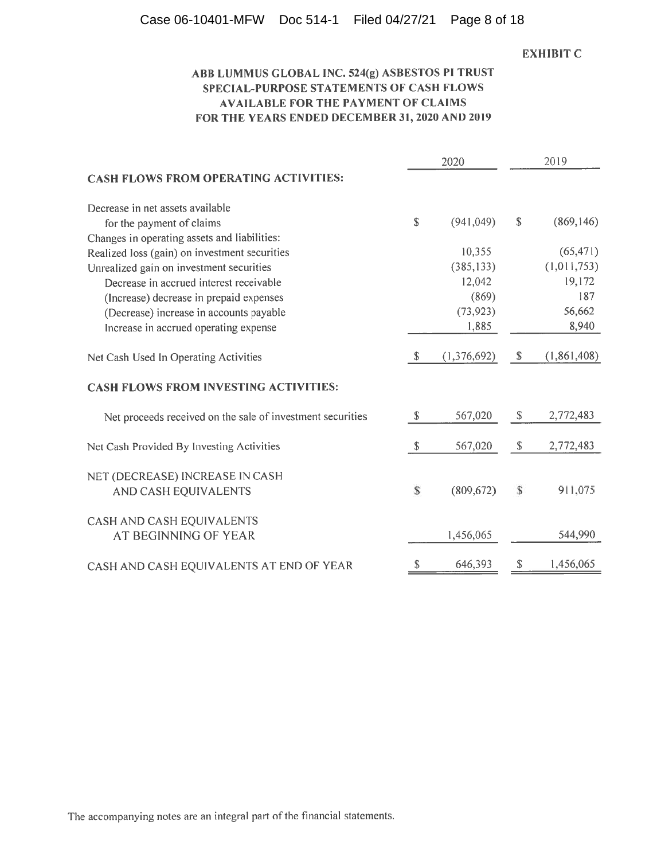## Case 06-10401-MFW Doc 514-1 Filed 04/27/21 Page 8 of 18

## **EXHIBIT C**

# ABB LUMMUS GLOBAL INC. 524(g) ASBESTOS PI TRUST SPECIAL-PURPOSE STATEMENTS OF CASH FLOWS **AVAILABLE FOR THE PAYMENT OF CLAIMS** FOR THE YEARS ENDED DECEMBER 31, 2020 AND 2019

|                                                            |               | 2020        | 2019                      |               |  |
|------------------------------------------------------------|---------------|-------------|---------------------------|---------------|--|
| <b>CASH FLOWS FROM OPERATING ACTIVITIES:</b>               |               |             |                           |               |  |
| Decrease in net assets available                           |               |             |                           |               |  |
| for the payment of claims                                  | $\mathbb{S}$  | (941, 049)  | $\mathbb{S}$              | (869, 146)    |  |
| Changes in operating assets and liabilities:               |               |             |                           |               |  |
| Realized loss (gain) on investment securities              |               | 10,355      |                           | (65, 471)     |  |
| Unrealized gain on investment securities                   |               | (385, 133)  |                           | (1,011,753)   |  |
| Decrease in accrued interest receivable                    |               | 12,042      |                           | 19,172        |  |
| (Increase) decrease in prepaid expenses                    |               | (869)       |                           | 187           |  |
| (Decrease) increase in accounts payable                    |               | (73, 923)   |                           | 56,662        |  |
| Increase in accrued operating expense                      |               | 1,885       |                           | 8,940         |  |
| Net Cash Used In Operating Activities                      | $\mathbb{S}$  | (1,376,692) | $\boldsymbol{\mathsf{S}}$ | (1, 861, 408) |  |
| <b>CASH FLOWS FROM INVESTING ACTIVITIES:</b>               |               |             |                           |               |  |
| Net proceeds received on the sale of investment securities | $\mathbb{S}$  | 567,020     | $\mathbb{S}$              | 2,772,483     |  |
| Net Cash Provided By Investing Activities                  | $\mathcal{S}$ | 567,020     | \$                        | 2,772,483     |  |
| NET (DECREASE) INCREASE IN CASH                            |               |             |                           |               |  |
| AND CASH EQUIVALENTS                                       | ${\mathbb S}$ | (809, 672)  | S                         | 911,075       |  |
| CASH AND CASH EQUIVALENTS                                  |               |             |                           |               |  |
| AT BEGINNING OF YEAR                                       |               | 1,456,065   |                           | 544,990       |  |
| CASH AND CASH EQUIVALENTS AT END OF YEAR                   | $\mathbb{S}$  | 646,393     | \$                        | 1,456,065     |  |

The accompanying notes are an integral part of the financial statements.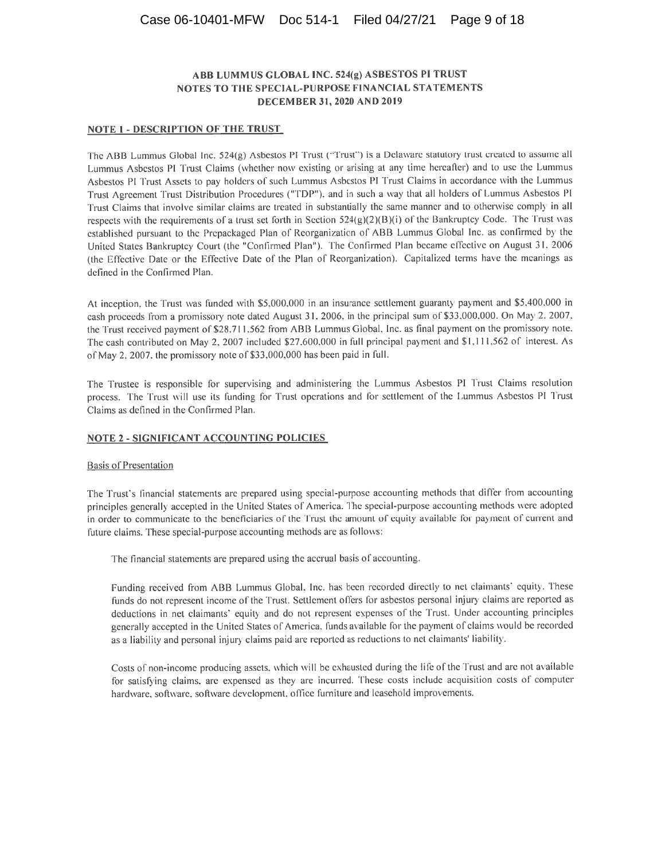#### **NOTE 1 - DESCRIPTION OF THE TRUST**

The ABB Lummus Global Inc. 524(g) Asbestos PI Trust ("Trust") is a Delaware statutory trust created to assume all Lummus Asbestos PI Trust Claims (whether now existing or arising at any time hereafter) and to use the Lummus Asbestos PI Trust Assets to pay holders of such Lummus Asbestos PI Trust Claims in accordance with the Lummus Trust Agreement Trust Distribution Procedures ("TDP"), and in such a way that all holders of Lummus Asbestos PI Trust Claims that involve similar claims are treated in substantially the same manner and to otherwise comply in all respects with the requirements of a trust set forth in Section 524(g)(2)(B)(i) of the Bankruptcy Code. The Trust was established pursuant to the Prepackaged Plan of Reorganization of ABB Lummus Global Inc. as confirmed by the United States Bankruptcy Court (the "Confirmed Plan"). The Confirmed Plan became effective on August 31, 2006 (the Effective Date or the Effective Date of the Plan of Reorganization). Capitalized terms have the meanings as defined in the Confirmed Plan.

At inception, the Trust was funded with \$5,000,000 in an insurance settlement guaranty payment and \$5,400,000 in cash proceeds from a promissory note dated August 31, 2006, in the principal sum of \$33,000,000. On May 2, 2007, the Trust received payment of \$28,711,562 from ABB Lummus Global, Inc. as final payment on the promissory note. The cash contributed on May 2, 2007 included \$27,600,000 in full principal payment and \$1,111,562 of interest. As of May 2, 2007, the promissory note of \$33,000,000 has been paid in full.

The Trustee is responsible for supervising and administering the Lummus Asbestos PI Trust Claims resolution process. The Trust will use its funding for Trust operations and for settlement of the Lummus Asbestos PI Trust Claims as defined in the Confirmed Plan.

#### **NOTE 2 - SIGNIFICANT ACCOUNTING POLICIES**

#### **Basis of Presentation**

The Trust's financial statements are prepared using special-purpose accounting methods that differ from accounting principles generally accepted in the United States of America. The special-purpose accounting methods were adopted in order to communicate to the beneficiaries of the Trust the amount of equity available for payment of current and future claims. These special-purpose accounting methods are as follows:

The financial statements are prepared using the accrual basis of accounting.

Funding received from ABB Lummus Global, Inc. has been recorded directly to net claimants' equity. These funds do not represent income of the Trust. Settlement offers for asbestos personal injury claims are reported as deductions in net claimants' equity and do not represent expenses of the Trust. Under accounting principles generally accepted in the United States of America, funds available for the payment of claims would be recorded as a liability and personal injury claims paid are reported as reductions to net claimants' liability.

Costs of non-income producing assets, which will be exhausted during the life of the Trust and are not available for satisfying claims, are expensed as they are incurred. These costs include acquisition costs of computer hardware, software, software development, office furniture and leasehold improvements.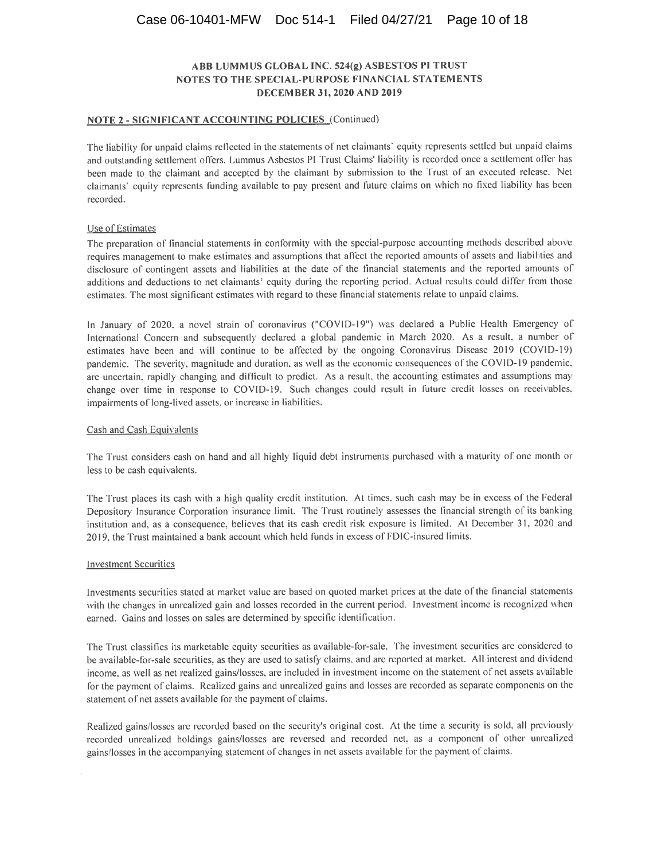#### NOTE 2 - SIGNIFICANT ACCOUNTING POLICIES (Continued)

The liability for unpaid claims reflected in the statements of net claimants' equity represents settled but unpaid claims and outstanding settlement offers. Lummus Asbestos PI Trust Claims' liability is recorded once a settlement offer has been made to the claimant and accepted by the claimant by submission to the Trust of an executed release. Net claimants' equity represents funding available to pay present and future claims on which no fixed liability has been recorded.

#### Use of Estimates

The preparation of financial statements in conformity with the special-purpose accounting methods described above requires management to make estimates and assumptions that affect the reported amounts of assets and liabilities and disclosure of contingent assets and liabilities at the date of the financial statements and the reported amounts of additions and deductions to net claimants' equity during the reporting period. Actual results could differ from those estimates. The most significant estimates with regard to these financial statements relate to unpaid claims.

In January of 2020, a novel strain of coronavirus ("COVID-19") was declared a Public Health Emergency of International Concern and subsequently declared a global pandemic in March 2020. As a result, a number of estimates have been and will continue to be affected by the ongoing Coronavirus Disease 2019 (COVID-19) pandemic. The severity, magnitude and duration, as well as the economic consequences of the COVID-19 pandemic, are uncertain, rapidly changing and difficult to predict. As a result, the accounting estimates and assumptions may change over time in response to COVID-19. Such changes could result in future credit losses on receivables, impairments of long-lived assets, or increase in liabilities.

#### Cash and Cash Equivalents

The Trust considers cash on hand and all highly liquid debt instruments purchased with a maturity of one month or less to be cash equivalents.

The Trust places its cash with a high quality credit institution. At times, such cash may be in excess of the Federal Depository Insurance Corporation insurance limit. The Trust routinely assesses the financial strength of its banking institution and, as a consequence, believes that its cash credit risk exposure is limited. At December 31, 2020 and 2019, the Trust maintained a bank account which held funds in excess of FDIC-insured limits.

#### **Investment Securities**

Investments securities stated at market value are based on quoted market prices at the date of the financial statements with the changes in unrealized gain and losses recorded in the current period. Investment income is recognized when earned. Gains and losses on sales are determined by specific identification.

The Trust classifies its marketable equity securities as available-for-sale. The investment securities are considered to be available-for-sale securities, as they are used to satisfy claims, and are reported at market. All interest and dividend income, as well as net realized gains/losses, are included in investment income on the statement of net assets available for the payment of claims. Realized gains and unrealized gains and losses are recorded as separate components on the statement of net assets available for the payment of claims.

Realized gains/losses are recorded based on the security's original cost. At the time a security is sold, all previously recorded unrealized holdings gains/losses are reversed and recorded net, as a component of other unrealized gains/losses in the accompanying statement of changes in net assets available for the payment of claims.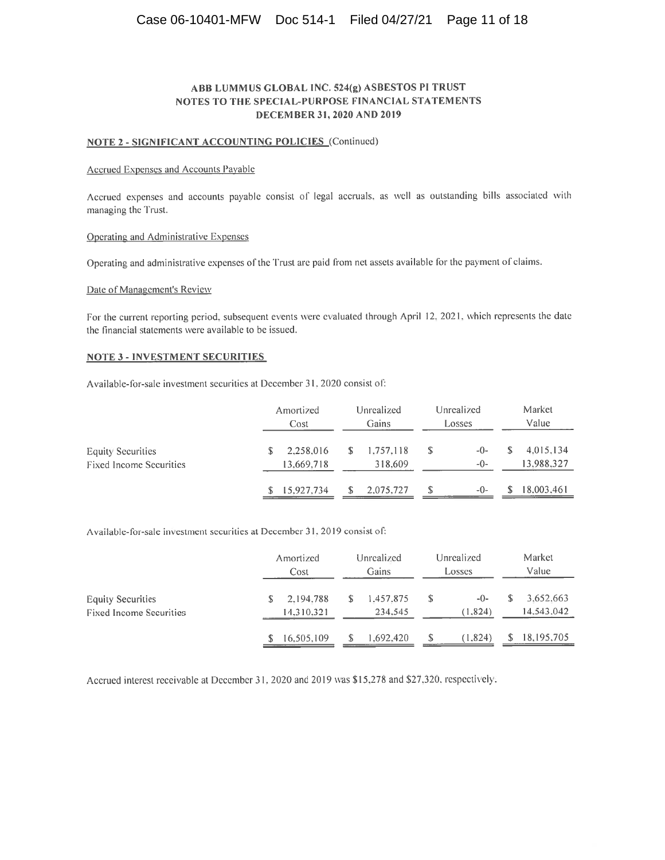## Case 06-10401-MFW Doc 514-1 Filed 04/27/21 Page 11 of 18

## ABB LUMMUS GLOBAL INC. 524(g) ASBESTOS PI TRUST NOTES TO THE SPECIAL-PURPOSE FINANCIAL STATEMENTS **DECEMBER 31, 2020 AND 2019**

#### NOTE 2 - SIGNIFICANT ACCOUNTING POLICIES (Continued)

#### Accrued Expenses and Accounts Payable

Accrued expenses and accounts payable consist of legal accruals, as well as outstanding bills associated with managing the Trust.

#### Operating and Administrative Expenses

Operating and administrative expenses of the Trust are paid from net assets available for the payment of claims.

#### Date of Management's Review

For the current reporting period, subsequent events were evaluated through April 12, 2021, which represents the date the financial statements were available to be issued.

#### **NOTE 3 - INVESTMENT SECURITIES**

Available-for-sale investment securities at December 31, 2020 consist of:

|                                                            | Amortized<br>Cost       | Unrealized<br>Gains         | Unrealized<br>Losses |                         |
|------------------------------------------------------------|-------------------------|-----------------------------|----------------------|-------------------------|
| <b>Equity Securities</b><br><b>Fixed Income Securities</b> | 2.258,016<br>13.669.718 | 1,757,118<br>\$.<br>318,609 | $-0-$<br>-0-         | 4,015,134<br>13,988,327 |
|                                                            | 15.927.734              | 2.075.727                   | $-()$ -              | 18,003,461              |

Available-for-sale investment securities at December 31, 2019 consist of:

|                                | Amortized  |           | Unrealized | Market       |  |
|--------------------------------|------------|-----------|------------|--------------|--|
|                                | Cost       |           | Losses     | Value        |  |
| <b>Equity Securities</b>       | 2.194.788  | 1.457.875 | $-()$      | 3.652,663    |  |
| <b>Fixed Income Securities</b> | 14,310,321 | 234,545   | (1,824)    | 14,543,042   |  |
|                                | 16.505,109 | 1,692,420 | (1.824)    | 18, 195, 705 |  |

Accrued interest receivable at December 31, 2020 and 2019 was \$15,278 and \$27,320, respectively.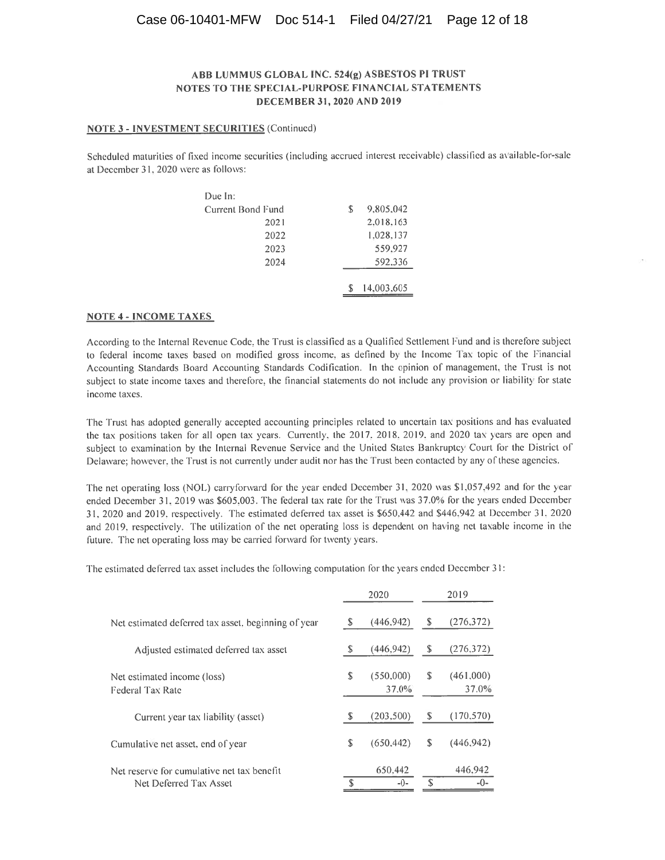## Case 06-10401-MFW Doc 514-1 Filed 04/27/21 Page 12 of 18

#### ABB LUMMUS GLOBAL INC. 524(g) ASBESTOS PI TRUST NOTES TO THE SPECIAL-PURPOSE FINANCIAL STATEMENTS DECEMBER 31, 2020 AND 2019

#### **NOTE 3 - INVESTMENT SECURITIES (Continued)**

Scheduled maturities of fixed income securities (including accrued interest receivable) classified as available-for-sale at December 31, 2020 were as follows:

| Due In:           |                 |  |
|-------------------|-----------------|--|
| Current Bond Fund | 9,805,042<br>\$ |  |
| 2021              | 2,018,163       |  |
| 2022              | 1.028,137       |  |
| 2023              | 559.927         |  |
| 2024              | 592.336         |  |
|                   |                 |  |
|                   | 14,003,605      |  |

#### **NOTE 4 - INCOME TAXES**

According to the Internal Revenue Code, the Trust is classified as a Qualified Settlement Fund and is therefore subject to federal income taxes based on modified gross income, as defined by the Income Tax topic of the Financial Accounting Standards Board Accounting Standards Codification. In the opinion of management, the Trust is not subject to state income taxes and therefore, the financial statements do not include any provision or liability for state income taxes.

The Trust has adopted generally accepted accounting principles related to uncertain tax positions and has evaluated the tax positions taken for all open tax years. Currently, the 2017, 2018, 2019, and 2020 tax years are open and subject to examination by the Internal Revenue Service and the United States Bankruptcy Court for the District of Delaware; however, the Trust is not currently under audit nor has the Trust been contacted by any of these agencies.

The net operating loss (NOL) carryforward for the year ended December 31, 2020 was \$1,057,492 and for the year ended December 31, 2019 was \$605,003. The federal tax rate for the Trust was 37.0% for the years ended December 31, 2020 and 2019, respectively. The estimated deferred tax asset is \$650,442 and \$446,942 at December 31, 2020 and 2019, respectively. The utilization of the net operating loss is dependent on having net taxable income in the future. The net operating loss may be carried forward for twenty years.

 $2020$ 

 $2010$ 

The estimated deferred tax asset includes the following computation for the years ended December 31:

|                                                                      |    | ZUZU               | 2019 |                       |  |
|----------------------------------------------------------------------|----|--------------------|------|-----------------------|--|
| Net estimated deferred tax asset, beginning of year                  | S  | (446, 942)         | S    | (276, 372)            |  |
| Adjusted estimated deferred tax asset                                | S  | (446.942)          | S    | (276, 372)            |  |
| Net estimated income (loss)<br>Federal Tax Rate                      | \$ | (550,000)<br>37.0% | \$.  | (461,000)<br>$37.0\%$ |  |
| Current year tax liability (asset)                                   | S  | (203,500)          | \$.  | (170.570)             |  |
| Cumulative net asset, end of year                                    | S  | (650, 442)         | S    | (446.942)             |  |
| Net reserve for cumulative net tax benefit<br>Net Deferred Tax Asset |    | 650,442<br>$-() -$ | \$.  | 446,942<br>-0-        |  |
|                                                                      |    |                    |      |                       |  |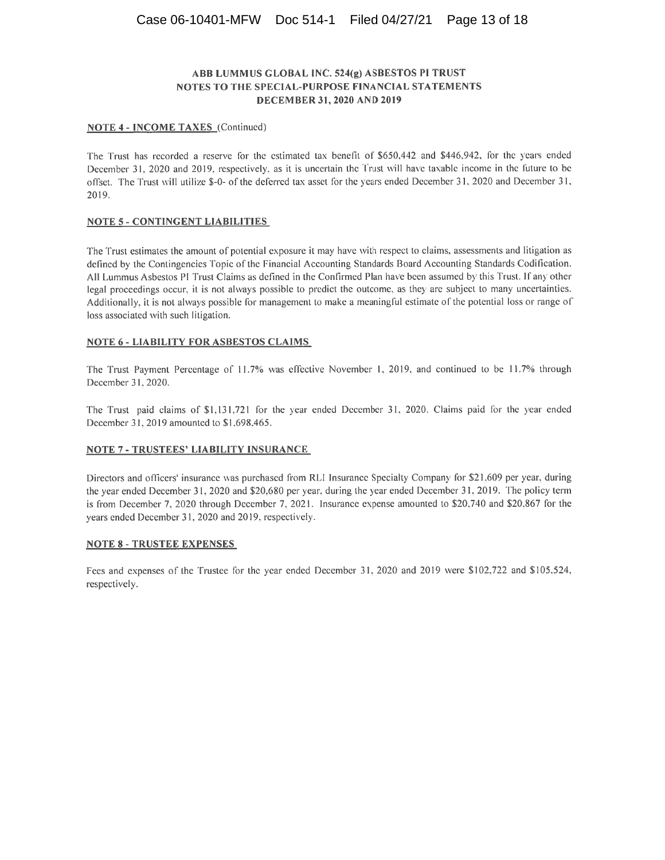#### **NOTE 4 - INCOME TAXES** (Continued)

The Trust has recorded a reserve for the estimated tax benefit of \$650,442 and \$446,942, for the years ended December 31, 2020 and 2019, respectively, as it is uncertain the Trust will have taxable income in the future to be offset. The Trust will utilize \$-0- of the deferred tax asset for the years ended December 31, 2020 and December 31, 2019.

#### **NOTE 5 - CONTINGENT LIABILITIES**

The Trust estimates the amount of potential exposure it may have with respect to claims, assessments and litigation as defined by the Contingencies Topic of the Financial Accounting Standards Board Accounting Standards Codification. All Lummus Asbestos PI Trust Claims as defined in the Confirmed Plan have been assumed by this Trust. If any other legal proceedings occur, it is not always possible to predict the outcome, as they are subject to many uncertainties. Additionally, it is not always possible for management to make a meaningful estimate of the potential loss or range of loss associated with such litigation.

#### **NOTE 6 - LIABILITY FOR ASBESTOS CLAIMS**

The Trust Payment Percentage of 11.7% was effective November 1, 2019, and continued to be 11.7% through December 31, 2020.

The Trust paid claims of \$1,131,721 for the year ended December 31, 2020. Claims paid for the year ended December 31, 2019 amounted to \$1,698,465.

#### **NOTE 7 - TRUSTEES' LIABILITY INSURANCE**

Directors and officers' insurance was purchased from RLI Insurance Specialty Company for \$21,609 per year, during the year ended December 31, 2020 and \$20,680 per year, during the year ended December 31, 2019. The policy term is from December 7, 2020 through December 7, 2021. Insurance expense amounted to \$20,740 and \$20,867 for the years ended December 31, 2020 and 2019, respectively.

#### **NOTE 8 - TRUSTEE EXPENSES**

Fees and expenses of the Trustee for the year ended December 31, 2020 and 2019 were \$102,722 and \$105,524, respectively.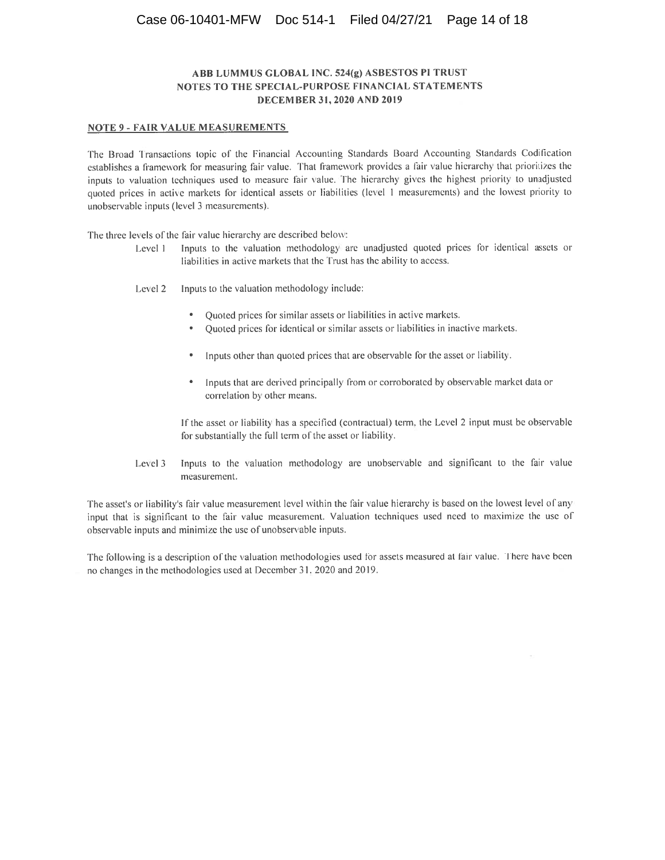#### **NOTE 9 - FAIR VALUE MEASUREMENTS**

The Broad Transactions topic of the Financial Accounting Standards Board Accounting Standards Codification establishes a framework for measuring fair value. That framework provides a fair value hierarchy that prioritizes the inputs to valuation techniques used to measure fair value. The hierarchy gives the highest priority to unadjusted quoted prices in active markets for identical assets or liabilities (level 1 measurements) and the lowest priority to unobservable inputs (level 3 measurements).

The three levels of the fair value hierarchy are described below:

- Inputs to the valuation methodology are unadjusted quoted prices for identical assets or Level 1 liabilities in active markets that the Trust has the ability to access.
- Level 2 Inputs to the valuation methodology include:
	- Quoted prices for similar assets or liabilities in active markets.
	- Quoted prices for identical or similar assets or liabilities in inactive markets.  $\bullet$
	- Inputs other than quoted prices that are observable for the asset or liability.
	- Inputs that are derived principally from or corroborated by observable market data or correlation by other means.

If the asset or liability has a specified (contractual) term, the Level 2 input must be observable for substantially the full term of the asset or liability.

Level 3 Inputs to the valuation methodology are unobservable and significant to the fair value measurement.

The asset's or liability's fair value measurement level within the fair value hierarchy is based on the lowest level of any input that is significant to the fair value measurement. Valuation techniques used need to maximize the use of observable inputs and minimize the use of unobservable inputs.

The following is a description of the valuation methodologies used for assets measured at fair value. There have been no changes in the methodologies used at December 31, 2020 and 2019.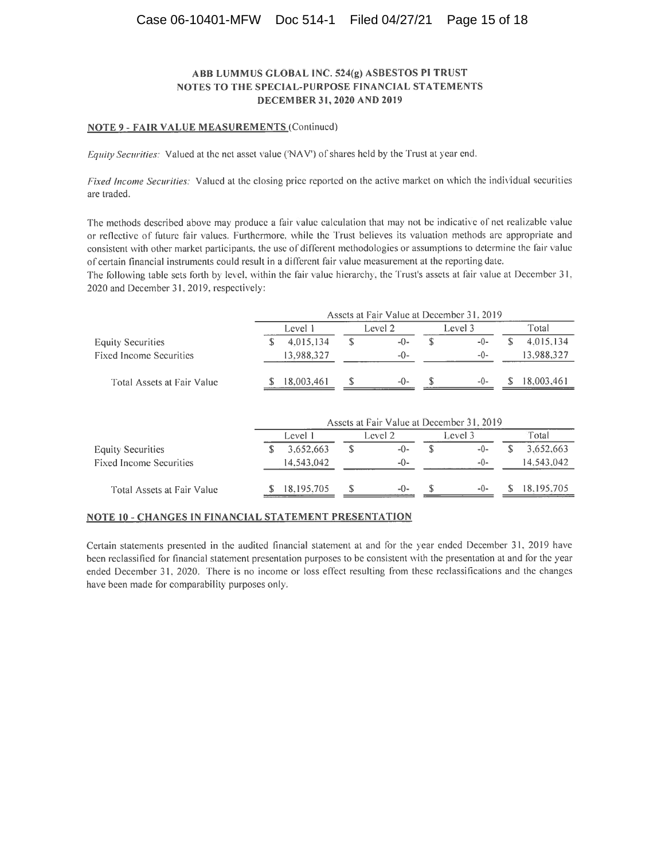#### NOTE 9 - FAIR VALUE MEASUREMENTS (Continued)

Equity Securities: Valued at the net asset value ('NAV') of shares held by the Trust at year end.

Fixed Income Securities: Valued at the closing price reported on the active market on which the individual securities are traded.

The methods described above may produce a fair value calculation that may not be indicative of net realizable value or reflective of future fair values. Furthermore, while the Trust believes its valuation methods are appropriate and consistent with other market participants, the use of different methodologies or assumptions to determine the fair value of certain financial instruments could result in a different fair value measurement at the reporting date.

The following table sets forth by level, within the fair value hierarchy, the Trust's assets at fair value at December 31, 2020 and December 31, 2019, respectively:

|                                |         |            |         |         |         | Assets at Fair Value at December 31, 2019 |       |            |
|--------------------------------|---------|------------|---------|---------|---------|-------------------------------------------|-------|------------|
|                                | Level 1 |            | Level 2 |         | Level 3 |                                           | Total |            |
| <b>Equity Securities</b>       |         | 4,015,134  |         | $-0-$   |         | -0-                                       |       | 4.015.134  |
| <b>Fixed Income Securities</b> |         | 13,988,327 |         | $-0-$   |         | -0-                                       |       | 13.988.327 |
| Total Assets at Fair Value     |         | 18,003,461 |         | $-()$ - |         | $-()$                                     |       | 18.003.461 |

|                                |  | Assets at Fair Value at December 31, 2019 |    |         |  |         |  |            |  |  |
|--------------------------------|--|-------------------------------------------|----|---------|--|---------|--|------------|--|--|
|                                |  | Level 1                                   |    | Level 2 |  | Level 3 |  | Total      |  |  |
| Equity Securities              |  | 3.652.663                                 | \$ | $-0-$   |  | $-()$ - |  | 3.652.663  |  |  |
| <b>Fixed Income Securities</b> |  | 14.543.042                                |    | $-()$ - |  | $-()$   |  | 14.543.042 |  |  |
| Total Assets at Fair Value     |  | 18.195.705                                |    | $-()$   |  | $-()$ - |  | 18.195.705 |  |  |

#### **NOTE 10 - CHANGES IN FINANCIAL STATEMENT PRESENTATION**

Certain statements presented in the audited financial statement at and for the year ended December 31, 2019 have been reclassified for financial statement presentation purposes to be consistent with the presentation at and for the year ended December 31, 2020. There is no income or loss effect resulting from these reclassifications and the changes have been made for comparability purposes only.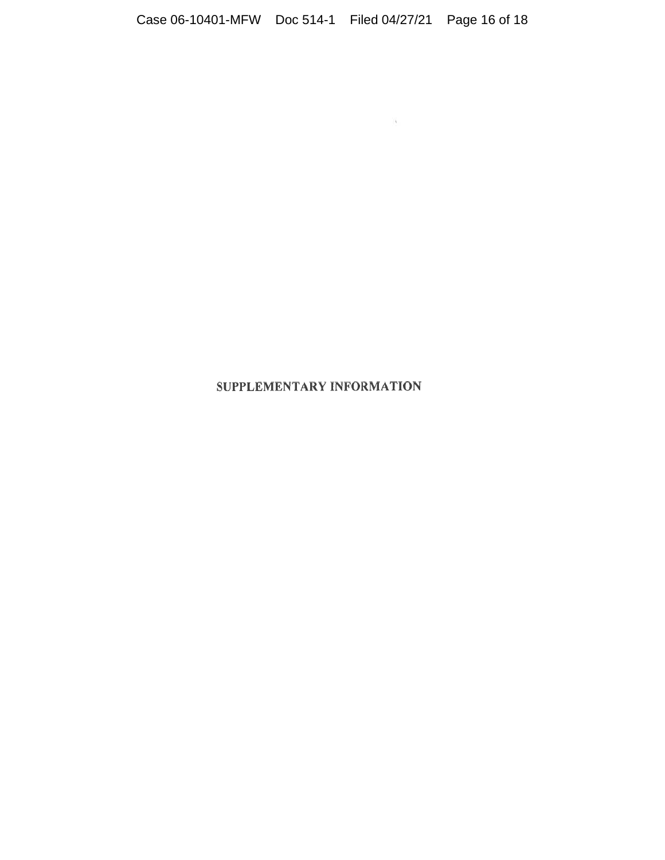$\begin{array}{c} \begin{array}{c} \bullet \\ \bullet \end{array} \end{array}$ 

# SUPPLEMENTARY INFORMATION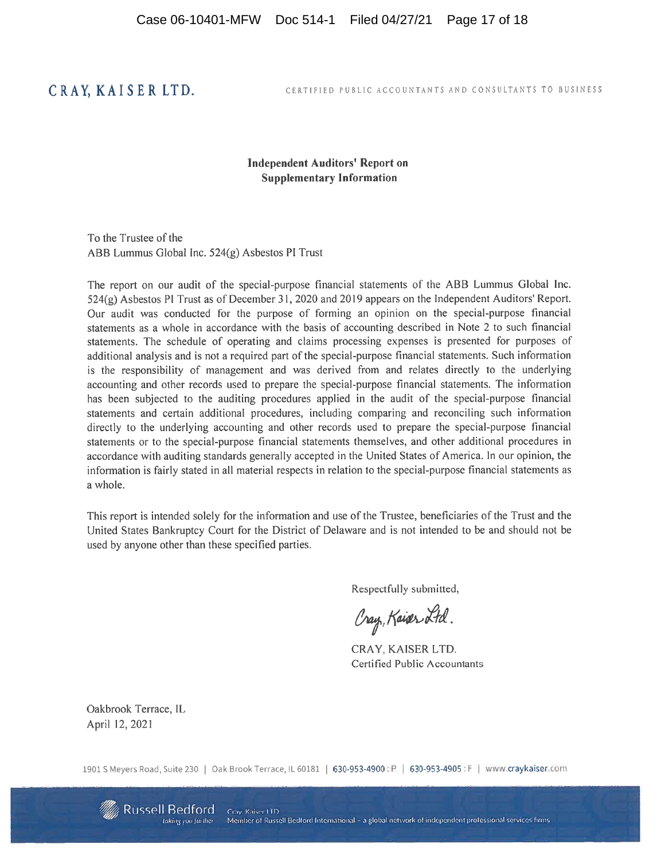# CRAY, KAISER LTD.

#### CERTIFIED PUBLIC ACCOUNTANTS AND CONSULTANTS TO BUSINESS

## **Independent Auditors' Report on Supplementary Information**

To the Trustee of the ABB Lummus Global Inc. 524(g) Asbestos PI Trust

The report on our audit of the special-purpose financial statements of the ABB Lummus Global Inc. 524(g) Asbestos PI Trust as of December 31, 2020 and 2019 appears on the Independent Auditors' Report. Our audit was conducted for the purpose of forming an opinion on the special-purpose financial statements as a whole in accordance with the basis of accounting described in Note 2 to such financial statements. The schedule of operating and claims processing expenses is presented for purposes of additional analysis and is not a required part of the special-purpose financial statements. Such information is the responsibility of management and was derived from and relates directly to the underlying accounting and other records used to prepare the special-purpose financial statements. The information has been subjected to the auditing procedures applied in the audit of the special-purpose financial statements and certain additional procedures, including comparing and reconciling such information directly to the underlying accounting and other records used to prepare the special-purpose financial statements or to the special-purpose financial statements themselves, and other additional procedures in accordance with auditing standards generally accepted in the United States of America. In our opinion, the information is fairly stated in all material respects in relation to the special-purpose financial statements as a whole.

This report is intended solely for the information and use of the Trustee, beneficiaries of the Trust and the United States Bankruptcy Court for the District of Delaware and is not intended to be and should not be used by anyone other than these specified parties.

Respectfully submitted,

Cray, Kaiser Ltd.

CRAY, KAISER LTD. **Certified Public Accountants** 

Oakbrook Terrace, IL April 12, 2021

1901 S Meyers Road, Suite 230 | Oak Brook Terrace, IL 60181 | 630-953-4900: P | 630-953-4905: F | www.craykaiser.com